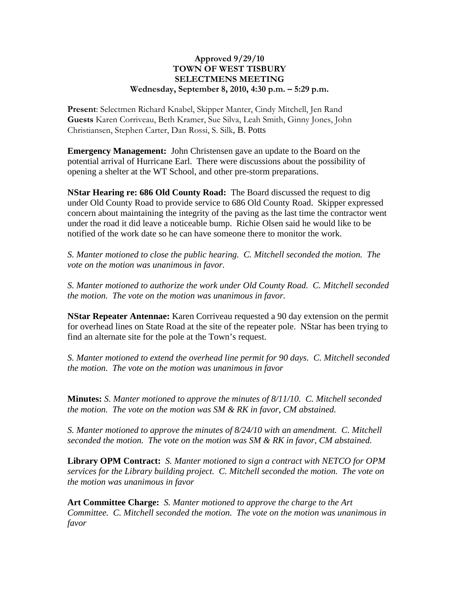## **Approved 9/29/10 TOWN OF WEST TISBURY SELECTMENS MEETING Wednesday, September 8, 2010, 4:30 p.m. – 5:29 p.m.**

**Present**: Selectmen Richard Knabel, Skipper Manter, Cindy Mitchell, Jen Rand **Guests** Karen Corriveau, Beth Kramer, Sue Silva, Leah Smith, Ginny Jones, John Christiansen, Stephen Carter, Dan Rossi, S. Silk, B. Potts

**Emergency Management:** John Christensen gave an update to the Board on the potential arrival of Hurricane Earl. There were discussions about the possibility of opening a shelter at the WT School, and other pre-storm preparations.

**NStar Hearing re: 686 Old County Road:** The Board discussed the request to dig under Old County Road to provide service to 686 Old County Road. Skipper expressed concern about maintaining the integrity of the paving as the last time the contractor went under the road it did leave a noticeable bump. Richie Olsen said he would like to be notified of the work date so he can have someone there to monitor the work.

*S. Manter motioned to close the public hearing. C. Mitchell seconded the motion. The vote on the motion was unanimous in favor.* 

*S. Manter motioned to authorize the work under Old County Road. C. Mitchell seconded the motion. The vote on the motion was unanimous in favor.* 

**NStar Repeater Antennae:** Karen Corriveau requested a 90 day extension on the permit for overhead lines on State Road at the site of the repeater pole. NStar has been trying to find an alternate site for the pole at the Town's request.

*S. Manter motioned to extend the overhead line permit for 90 days. C. Mitchell seconded the motion. The vote on the motion was unanimous in favor* 

**Minutes:** *S. Manter motioned to approve the minutes of 8/11/10. C. Mitchell seconded the motion. The vote on the motion was SM & RK in favor, CM abstained.*

*S. Manter motioned to approve the minutes of 8/24/10 with an amendment. C. Mitchell seconded the motion. The vote on the motion was SM & RK in favor, CM abstained.*

**Library OPM Contract:** *S. Manter motioned to sign a contract with NETCO for OPM services for the Library building project. C. Mitchell seconded the motion. The vote on the motion was unanimous in favor* 

**Art Committee Charge:** *S. Manter motioned to approve the charge to the Art Committee. C. Mitchell seconded the motion. The vote on the motion was unanimous in favor*